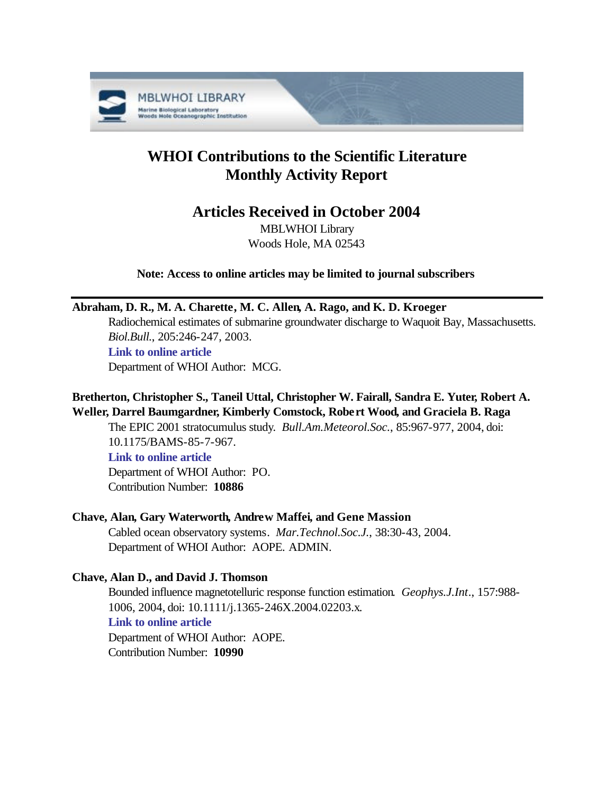

# **WHOI Contributions to the Scientific Literature Monthly Activity Report**

## **Articles Received in October 2004**

MBLWHOI Library Woods Hole, MA 02543

**Note: Access to online articles may be limited to journal subscribers**

## **Abraham, D. R., M. A. Charette, M. C. Allen, A. Rago, and K. D. Kroeger**

Radiochemical estimates of submarine groundwater discharge to Waquoit Bay, Massachusetts. *Biol.Bull.*, 205:246-247, 2003.

**[Link to online article](http://www.biolbull.org/cgi/reprint/205/2/246.pdf)**

Department of WHOI Author: MCG.

## **Bretherton, Christopher S., Taneil Uttal, Christopher W. Fairall, Sandra E. Yuter, Robert A. Weller, Darrel Baumgardner, Kimberly Comstock, Robert Wood, and Graciela B. Raga**

The EPIC 2001 stratocumulus study. *Bull.Am.Meteorol.Soc.*, 85:967-977, 2004, doi: 10.1175/BAMS-85-7-967.

## **[Link to online article](http://dx.doi.org/10.1175/BAMS-85-7-967)**

Department of WHOI Author: PO. Contribution Number: **10886**

## **Chave, Alan, Gary Waterworth, Andrew Maffei, and Gene Massion**

Cabled ocean observatory systems. *Mar.Technol.Soc.J.*, 38:30-43, 2004. Department of WHOI Author: AOPE. ADMIN.

## **Chave, Alan D., and David J. Thomson**

Bounded influence magnetotelluric response function estimation. *Geophys.J.Int.*, 157:988- 1006, 2004, doi: 10.1111/j.1365-246X.2004.02203.x. **[Link to online article](http://dx.doi.org/10.1111/j.1365-246X.2004.02203.x)** Department of WHOI Author: AOPE.

Contribution Number: **10990**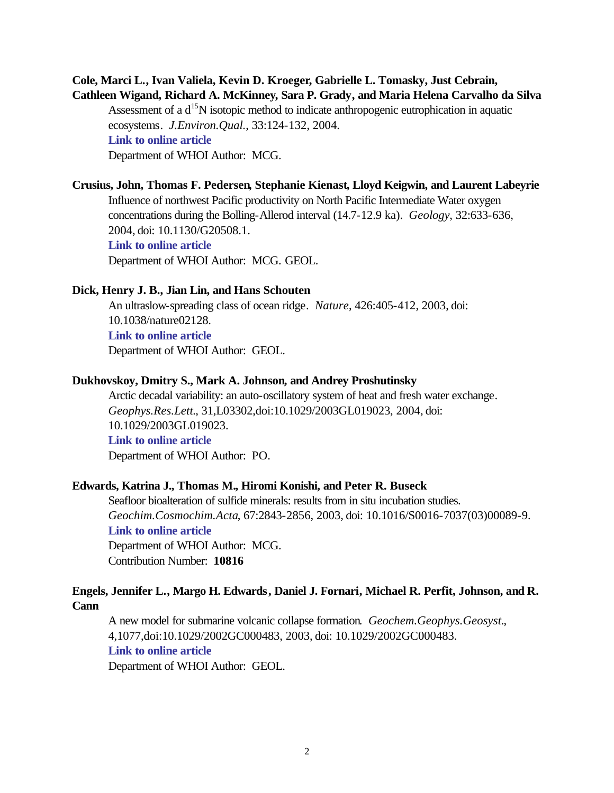## **Cole, Marci L., Ivan Valiela, Kevin D. Kroeger, Gabrielle L. Tomasky, Just Cebrain, Cathleen Wigand, Richard A. McKinney, Sara P. Grady, and Maria Helena Carvalho da Silva**

Assessment of a d<sup>15</sup>N isotopic method to indicate anthropogenic eutrophication in aquatic ecosystems. *J.Environ.Qual.*, 33:124-132, 2004. **[Link to online article](http://jeq.scijournals.org/cgi/reprint/33/1/124.pdf)** Department of WHOI Author: MCG.

## **Crusius, John, Thomas F. Pedersen, Stephanie Kienast, Lloyd Keigwin, and Laurent Labeyrie**

Influence of northwest Pacific productivity on North Pacific Intermediate Water oxygen concentrations during the Bolling-Allerod interval (14.7-12.9 ka). *Geology*, 32:633-636, 2004, doi: 10.1130/G20508.1. **[Link to online article](http://dx.doi.org/10.1130/G20508.1)** Department of WHOI Author: MCG. GEOL.

#### **Dick, Henry J. B., Jian Lin, and Hans Schouten**

An ultraslow-spreading class of ocean ridge. *Nature*, 426:405-412, 2003, doi: 10.1038/nature02128. **[Link to online article](http://dx.doi.org/10.1038/nature02128)**

Department of WHOI Author: GEOL.

#### **Dukhovskoy, Dmitry S., Mark A. Johnson, and Andrey Proshutinsky**

Arctic decadal variability: an auto-oscillatory system of heat and fresh water exchange. *Geophys.Res.Lett.*, 31,L03302,doi:10.1029/2003GL019023, 2004, doi: 10.1029/2003GL019023. **[Link to online article](http://dx.doi.org/10.1029/2003GL019023)** Department of WHOI Author: PO.

## **Edwards, Katrina J., Thomas M., Hiromi Konishi, and Peter R. Buseck**

Seafloor bioalteration of sulfide minerals: results from in situ incubation studies. *Geochim.Cosmochim.Acta*, 67:2843-2856, 2003, doi: 10.1016/S0016-7037(03)00089-9. **[Link to online article](http://dx.doi.org/10.1016/S0016-7037(03)00089-9)** Department of WHOI Author: MCG. Contribution Number: **10816**

## **Engels, Jennifer L., Margo H. Edwards, Daniel J. Fornari, Michael R. Perfit, Johnson, and R. Cann**

A new model for submarine volcanic collapse formation. *Geochem.Geophys.Geosyst.*, 4,1077,doi:10.1029/2002GC000483, 2003, doi: 10.1029/2002GC000483. **[Link to online article](http://dx.doi.org/10.1029/2002GC000483)**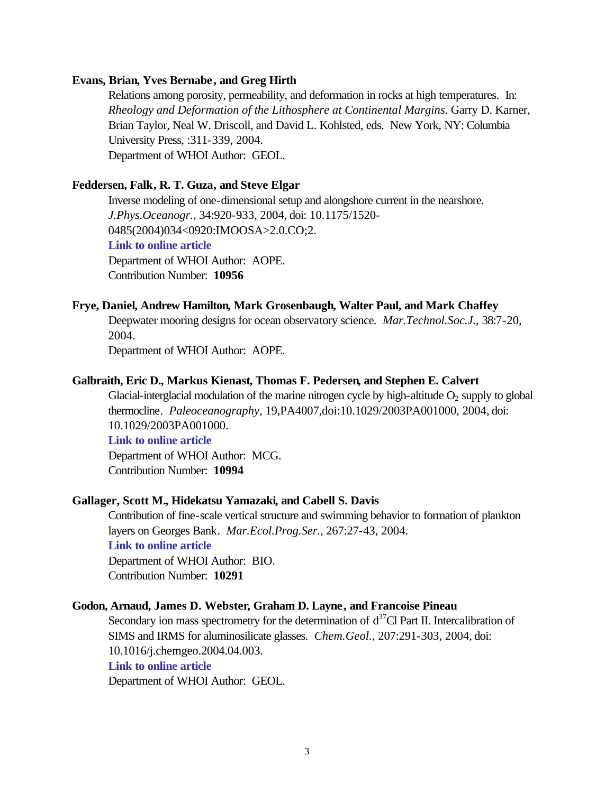#### **Evans, Brian, Yves Bernabe, and Greg Hirth**

Relations among porosity, permeability, and deformation in rocks at high temperatures. In: *Rheology and Deformation of the Lithosphere at Continental Margins*. Garry D. Karner, Brian Taylor, Neal W. Driscoll, and David L. Kohlsted, eds. New York, NY: Columbia University Press, :311-339, 2004. Department of WHOI Author: GEOL.

## **Feddersen, Falk, R. T. Guza, and Steve Elgar**

Inverse modeling of one-dimensional setup and alongshore current in the nearshore. *J.Phys.Oceanogr.*, 34:920-933, 2004, doi: 10.1175/1520- 0485(2004)034<0920:IMOOSA>2.0.CO;2. **[Link to online article](http://dx.doi.org/10.1175/1520-0485(2004)034<0920:IMOOSA>2.0.CO;2)** Department of WHOI Author: AOPE. Contribution Number: **10956**

#### **Frye, Daniel, Andrew Hamilton, Mark Grosenbaugh, Walter Paul, and Mark Chaffey**

Deepwater mooring designs for ocean observatory science. *Mar.Technol.Soc.J.*, 38:7-20, 2004.

Department of WHOI Author: AOPE.

#### **Galbraith, Eric D., Markus Kienast, Thomas F. Pedersen, and Stephen E. Calvert**

Glacial-interglacial modulation of the marine nitrogen cycle by high-altitude  $O_2$  supply to global thermocline. *Paleoceanography*, 19,PA4007,doi:10.1029/2003PA001000, 2004, doi: 10.1029/2003PA001000.

## **[Link to online article](http://dx.doi.org/10.1029/2003PA001000)**

Department of WHOI Author: MCG. Contribution Number: **10994**

#### **Gallager, Scott M., Hidekatsu Yamazaki, and Cabell S. Davis**

Contribution of fine-scale vertical structure and swimming behavior to formation of plankton layers on Georges Bank. *Mar.Ecol.Prog.Ser.*, 267:27-43, 2004.

## **[Link to online article](http://www.int-res.com/articles/meps2004/267/m267p027.pdf)**

Department of WHOI Author: BIO. Contribution Number: **10291**

## **Godon, Arnaud, James D. Webster, Graham D. Layne, and Francoise Pineau**

Secondary ion mass spectrometry for the determination of  $d^{37}Cl$  Part II. Intercalibration of SIMS and IRMS for aluminosilicate glasses. *Chem.Geol.*, 207:291-303, 2004, doi: 10.1016/j.chemgeo.2004.04.003. **[Link to online article](http://dx.doi.org/10.1016/j.chemgeo.2004.04.003)**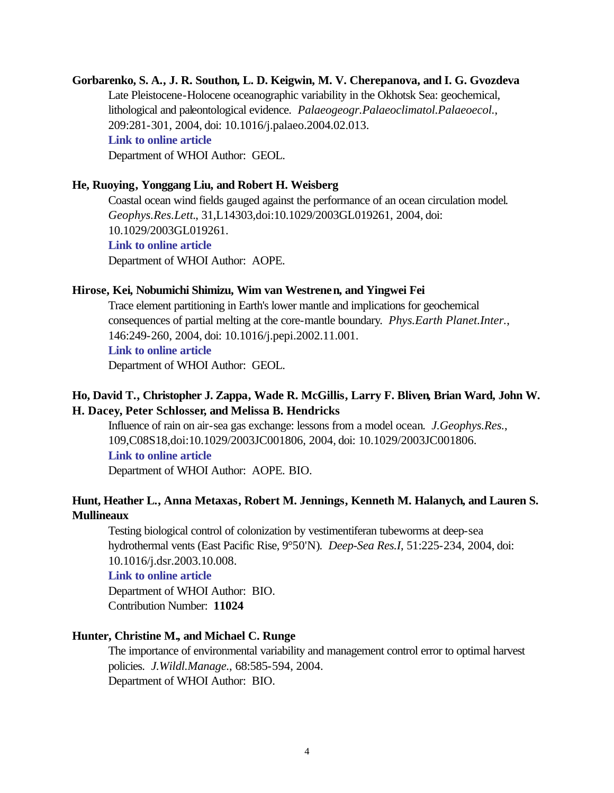**Gorbarenko, S. A., J. R. Southon, L. D. Keigwin, M. V. Cherepanova, and I. G. Gvozdeva** Late Pleistocene-Holocene oceanographic variability in the Okhotsk Sea: geochemical, lithological and paleontological evidence. *Palaeogeogr.Palaeoclimatol.Palaeoecol.*, 209:281-301, 2004, doi: 10.1016/j.palaeo.2004.02.013. **[Link to online article](http://dx.doi.org/10.1016/j.palaeo.2004.02.013)** Department of WHOI Author: GEOL.

#### **He, Ruoying, Yonggang Liu, and Robert H. Weisberg**

Coastal ocean wind fields gauged against the performance of an ocean circulation model. *Geophys.Res.Lett.*, 31,L14303,doi:10.1029/2003GL019261, 2004, doi: 10.1029/2003GL019261. **[Link to online article](http://dx.doi.org/10.1029/2003GL019261)** Department of WHOI Author: AOPE.

#### **Hirose, Kei, Nobumichi Shimizu, Wim van Westrenen, and Yingwei Fei**

Trace element partitioning in Earth's lower mantle and implications for geochemical consequences of partial melting at the core-mantle boundary. *Phys.Earth Planet.Inter.*, 146:249-260, 2004, doi: 10.1016/j.pepi.2002.11.001.

**[Link to online article](http://dx.doi.org/10.1016/j.pepi.2002.11.001)**

Department of WHOI Author: GEOL.

## **Ho, David T., Christopher J. Zappa, Wade R. McGillis, Larry F. Bliven, Brian Ward, John W. H. Dacey, Peter Schlosser, and Melissa B. Hendricks**

Influence of rain on air-sea gas exchange: lessons from a model ocean. *J.Geophys.Res.*, 109,C08S18,doi:10.1029/2003JC001806, 2004, doi: 10.1029/2003JC001806. **[Link to online article](http://dx.doi.org/10.1029/2003JC001806)**

Department of WHOI Author: AOPE. BIO.

## **Hunt, Heather L., Anna Metaxas, Robert M. Jennings, Kenneth M. Halanych, and Lauren S. Mullineaux**

Testing biological control of colonization by vestimentiferan tubeworms at deep-sea hydrothermal vents (East Pacific Rise, 9°50'N). *Deep-Sea Res.I*, 51:225-234, 2004, doi: 10.1016/j.dsr.2003.10.008.

#### **[Link to online article](http://dx.doi.org/10.1016/j.dsr.2003.10.008)**

Department of WHOI Author: BIO. Contribution Number: **11024**

## **Hunter, Christine M., and Michael C. Runge**

The importance of environmental variability and management control error to optimal harvest policies. *J.Wildl.Manage.*, 68:585-594, 2004. Department of WHOI Author: BIO.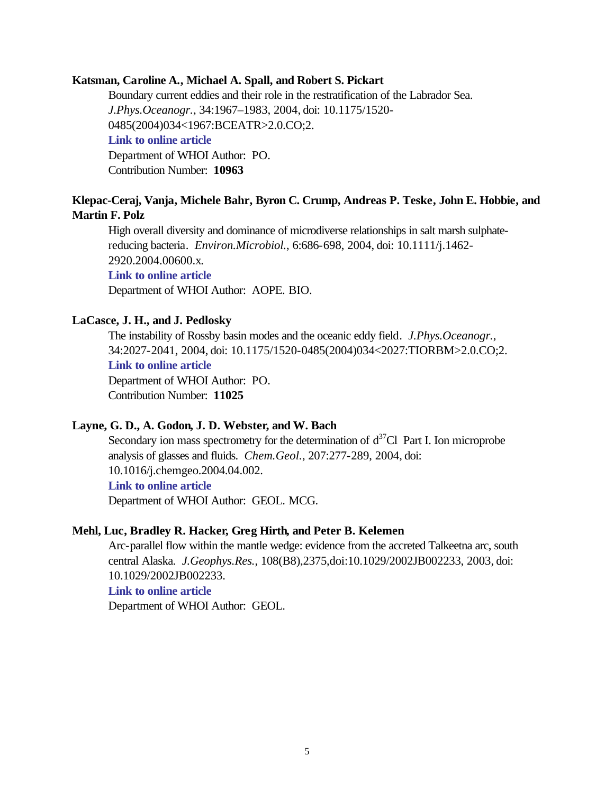#### **Katsman, Caroline A., Michael A. Spall, and Robert S. Pickart**

Boundary current eddies and their role in the restratification of the Labrador Sea. *J.Phys.Oceanogr.*, 34:1967–1983, 2004, doi: 10.1175/1520- 0485(2004)034<1967:BCEATR>2.0.CO;2. **[Link to online article](http://dx.doi.org/10.1175/1520-0485(2004)034<1967:BCEATR>2.0.CO;2)** Department of WHOI Author: PO. Contribution Number: **10963**

## **Klepac-Ceraj, Vanja, Michele Bahr, Byron C. Crump, Andreas P. Teske, John E. Hobbie, and Martin F. Polz**

High overall diversity and dominance of microdiverse relationships in salt marsh sulphatereducing bacteria. *Environ.Microbiol.*, 6:686-698, 2004, doi: 10.1111/j.1462- 2920.2004.00600.x.

**[Link to online article](http://dx.doi.org/10.1111/j.1462-2920.2004.00600.x)**

Department of WHOI Author: AOPE. BIO.

#### **LaCasce, J. H., and J. Pedlosky**

The instability of Rossby basin modes and the oceanic eddy field. *J.Phys.Oceanogr.*, 34:2027-2041, 2004, doi: 10.1175/1520-0485(2004)034<2027:TIORBM>2.0.CO;2. **[Link to online article](http://dx.doi.org/10.1175/1520-0485(2004)034<2027:TIORBM>2.0.CO;2)** Department of WHOI Author: PO. Contribution Number: **11025**

#### **Layne, G. D., A. Godon, J. D. Webster, and W. Bach**

Secondary ion mass spectrometry for the determination of  $d^{37}Cl$  Part I. Ion microprobe analysis of glasses and fluids. *Chem.Geol.*, 207:277-289, 2004, doi: 10.1016/j.chemgeo.2004.04.002. **[Link to online article](http://dx.doi.org/10.1016/j.chemgeo.2004.04.002)**

Department of WHOI Author: GEOL. MCG.

#### **Mehl, Luc, Bradley R. Hacker, Greg Hirth, and Peter B. Kelemen**

Arc-parallel flow within the mantle wedge: evidence from the accreted Talkeetna arc, south central Alaska. *J.Geophys.Res.*, 108(B8),2375,doi:10.1029/2002JB002233, 2003, doi: 10.1029/2002JB002233.

#### **[Link to online article](http://dx.doi.org/10.1029/2002JB002233)**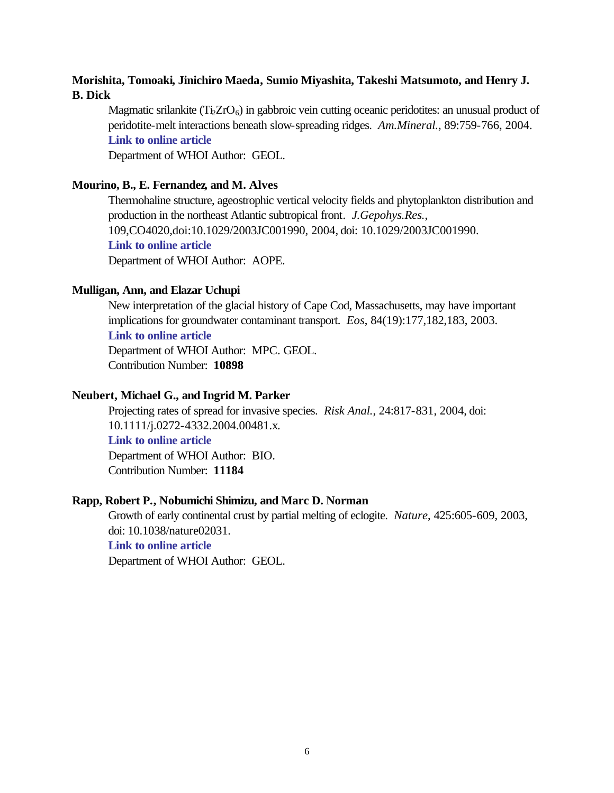## **Morishita, Tomoaki, Jinichiro Maeda, Sumio Miyashita, Takeshi Matsumoto, and Henry J. B. Dick**

Magmatic srilankite  $(Ti_2ZrO_6)$  in gabbroic vein cutting oceanic peridotites: an unusual product of peridotite-melt interactions beneath slow-spreading ridges. *Am.Mineral.*, 89:759-766, 2004. **[Link to online article](http://www.minsocam.org/MSA/AmMin/TOC/2004/MJ04.html)**

Department of WHOI Author: GEOL.

## **Mourino, B., E. Fernandez, and M. Alves**

Thermohaline structure, ageostrophic vertical velocity fields and phytoplankton distribution and production in the northeast Atlantic subtropical front. *J.Gepohys.Res.*, 109,CO4020,doi:10.1029/2003JC001990, 2004, doi: 10.1029/2003JC001990. **[Link to online article](http://dx.doi.org/10.1029/2003JC001990)** Department of WHOI Author: AOPE.

## **Mulligan, Ann, and Elazar Uchupi**

New interpretation of the glacial history of Cape Cod, Massachusetts, may have important implications for groundwater contaminant transport. *Eos*, 84(19):177,182,183, 2003.

## **[Link to online article](http://www.agu.org/journals/eo/eo0319/2003EO190001.pdf#anchor)**

Department of WHOI Author: MPC. GEOL. Contribution Number: **10898**

## **Neubert, Michael G., and Ingrid M. Parker**

Projecting rates of spread for invasive species. *Risk Anal.*, 24:817-831, 2004, doi: 10.1111/j.0272-4332.2004.00481.x. **[Link to online article](http://dx.doi.org/10.1111/j.0272-4332.2004.00481.x)**

Department of WHOI Author: BIO. Contribution Number: **11184**

#### **Rapp, Robert P., Nobumichi Shimizu, and Marc D. Norman**

Growth of early continental crust by partial melting of eclogite. *Nature*, 425:605-609, 2003, doi: 10.1038/nature02031.

#### **[Link to online article](http://dx.doi.org/10.1038/nature02031)**